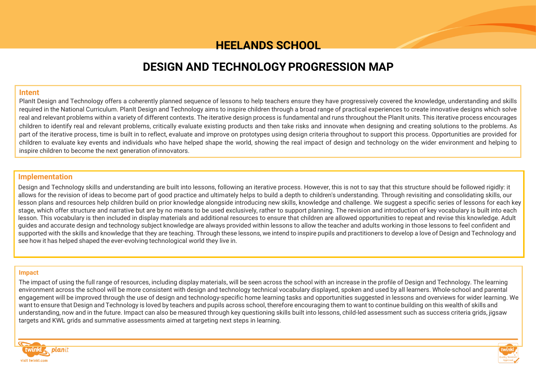# **HEELANDS SCHOOL**

# **DESIGN AND TECHNOLOGY PROGRESSION MAP**

#### **Intent**

PlanIt Design and Technology offers a coherently planned sequence of lessons to help teachers ensure they have progressively covered the knowledge, understanding and skills required in the National Curriculum. PlanIt Design and Technology aims to inspire children through a broad range of practical experiences to create innovative designs which solve real and relevant problems within a variety of different contexts. The iterative design process is fundamental and runs throughout the PlanIt units. This iterative process encourages children to identify real and relevant problems, critically evaluate existing products and then take risks and innovate when designing and creating solutions to the problems. As part of the iterative process, time is built in to reflect, evaluate and improve on prototypes using design criteria throughout to support this process. Opportunities are provided for children to evaluate key events and individuals who have helped shape the world, showing the real impact of design and technology on the wider environment and helping to inspire children to become the next generation ofinnovators.

### **Implementation**

Design and Technology skills and understanding are built into lessons, following an iterative process. However, this is not to say that this structure should be followed rigidly: it allows for the revision of ideas to become part of good practice and ultimately helps to build a depth to children's understanding. Through revisiting and consolidating skills, our lesson plans and resources help children build on prior knowledge alongside introducing new skills, knowledge and challenge. We suggest a specific series of lessons for each key stage, which offer structure and narrative but are by no means to be used exclusively, rather to support planning. The revision and introduction of key vocabulary is built into each lesson. This vocabulary is then included in display materials and additional resources to ensure that children are allowed opportunities to repeat and revise this knowledge. Adult guides and accurate design and technology subject knowledge are always provided within lessons to allow the teacher and adults working in those lessons to feel confident and supported with the skills and knowledge that they are teaching. Through these lessons, we intend to inspire pupils and practitioners to develop a love of Design and Technology and see how it has helped shaped the ever-evolving technological world they live in.

#### **Impact**

The impact of using the full range of resources, including display materials, will be seen across the school with an increase in the profile of Design and Technology. The learning environment across the school will be more consistent with design and technology technical vocabulary displayed, spoken and used by all learners. Whole-school and parental engagement will be improved through the use of design and technology-specific home learning tasks and opportunities suggested in lessons and overviews for wider learning. We want to ensure that Design and Technology is loved by teachers and pupils across school, therefore encouraging them to want to continue building on this wealth of skills and understanding, now and in the future. Impact can also be measured through key questioning skills built into lessons, child-led assessment such as success criteria grids, jigsaw targets and KWL grids and summative assessments aimed at targeting next steps in learning.



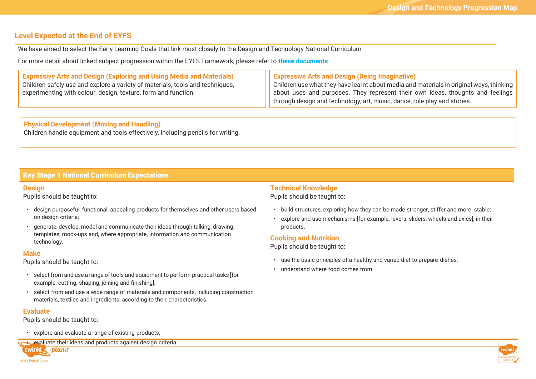## **Level Expected at the End of EYFS**

We have aimed to select the Early Learning Goals that link most closely to the Design and Technology National Curriculum

For more detail about linked subject progression within the EYFS Framework, please refer to **[these documents](https://www.twinkl.co.uk/resource/learning-in-eyfs-what-subject-leaders-need-to-know-resource-pack-t-tp-2548825)**.

| <b>Expressive Arts and Design (Exploring and Using Media and Materials)</b>   | Expressive Arts and Design (Being Imaginative)                                          |
|-------------------------------------------------------------------------------|-----------------------------------------------------------------------------------------|
| Children safely use and explore a variety of materials, tools and techniques, | Children use what they have learnt about media and materials in original ways, thinking |
| experimenting with colour, design, texture, form and function.                | about uses and purposes. They represent their own ideas, thoughts and feelings          |
|                                                                               | through design and technology, art, music, dance, role play and stories.                |

**Physical Development (Moving and Handling)** Children handle equipment and tools effectively, including pencils for writing.

#### **Key Stage 1 National Curriculum Expectations**

#### **Design**

Pupils should be taught to:

- design purposeful, functional, appealing products for themselves and other users based on design criteria;
- generate, develop, model and communicate their ideas through talking, drawing, templates, mock-ups and, where appropriate, information and communication technology.

#### **Make**

Pupils should be taught to:

- select from and use a range oftools and equipment to perform practical tasks [for example, cutting, shaping, joining and finishing];
- select from and use a wide range of materials and components, including construction materials, textiles and ingredients, according to their characteristics.

#### **Evaluate**

Pupils should be taught to:

• explore and evaluate a range of existing products;

• evaluate their ideas and products against design criteria.

twinkl planit visit twinkl.com

## **Technical Knowledge**

Pupils should be taught to:

- build structures, exploring how they can be made stronger, stiffer and more stable;
- explore and use mechanisms [for example, levers, sliders, wheels and axles], in their products.

#### **Cooking and Nutrition**

Pupils should be taught to:

- use the basic principles of a healthy and varied diet to prepare dishes;
- understand where food comes from.

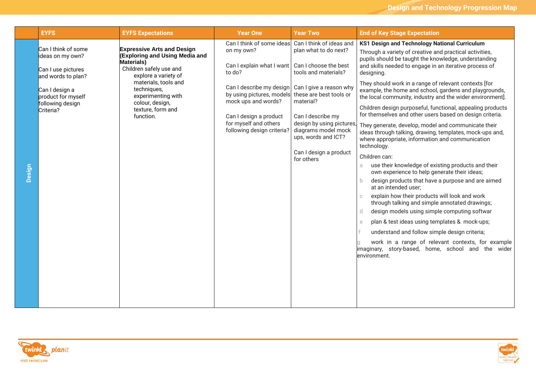|        | <b>EYFS</b>                                | <b>EYFS Expectations</b>                                                   | <b>Year One</b>                                                                                                                                               | <b>Year Two</b>                                                                             | <b>End of Key Stage Expectation</b>                                                                                                                                                |
|--------|--------------------------------------------|----------------------------------------------------------------------------|---------------------------------------------------------------------------------------------------------------------------------------------------------------|---------------------------------------------------------------------------------------------|------------------------------------------------------------------------------------------------------------------------------------------------------------------------------------|
|        | Can I think of some<br>ideas on my own?    | <b>Expressive Arts and Design</b><br><b>(Exploring and Using Media and</b> | Can I think of some ideas<br>on my own?                                                                                                                       | Can I think of ideas and<br>plan what to do next?                                           | <b>KS1 Design and Technology National Curriculum</b><br>Through a variety of creative and practical activities,<br>pupils should be taught the knowledge, understanding            |
|        | Can I use pictures<br>and words to plan?   | <b>Materials)</b><br>Children safely use and<br>explore a variety of       | Can I explain what I want   Can I choose the best<br>to do?                                                                                                   | tools and materials?                                                                        | and skills needed to engage in an iterative process of<br>designing.                                                                                                               |
|        | Can I design a<br>product for myself       | materials, tools and<br>techniques,<br>experimenting with                  | Can I describe my design<br>by using pictures, models<br>mock ups and words?<br>Can I design a product<br>for myself and others<br>following design criteria? | Can I give a reason why<br>these are best tools or<br>material?                             | They should work in a range of relevant contexts [for<br>example, the home and school, gardens and playgrounds,<br>the local community, industry and the wider environment].       |
|        | following design<br>Criteria?<br>function. | colour, design,<br>texture, form and                                       |                                                                                                                                                               | Can I describe my<br>design by using pictures<br>diagrams model mock<br>ups, words and ICT? | Children design purposeful, functional, appealing products<br>for themselves and other users based on design criteria.                                                             |
|        |                                            |                                                                            |                                                                                                                                                               |                                                                                             | They generate, develop, model and communicate their<br>ideas through talking, drawing, templates, mock-ups and,<br>where appropriate, information and communication<br>technology. |
|        |                                            |                                                                            |                                                                                                                                                               | Can I design a product<br>for others                                                        | Children can:                                                                                                                                                                      |
| Design |                                            |                                                                            |                                                                                                                                                               |                                                                                             | use their knowledge of existing products and their<br>a.<br>own experience to help generate their ideas;                                                                           |
|        |                                            |                                                                            |                                                                                                                                                               |                                                                                             | design products that have a purpose and are aimed<br>b.<br>at an intended user;                                                                                                    |
|        |                                            |                                                                            |                                                                                                                                                               |                                                                                             | explain how their products will look and work<br>$\mathbb{C}$<br>through talking and simple annotated drawings;                                                                    |
|        |                                            |                                                                            |                                                                                                                                                               |                                                                                             | design models using simple computing softwar<br>$\mathbf d$                                                                                                                        |
|        |                                            |                                                                            |                                                                                                                                                               |                                                                                             | plan & test ideas using templates & mock-ups;<br>$\epsilon$                                                                                                                        |
|        |                                            |                                                                            |                                                                                                                                                               |                                                                                             | understand and follow simple design criteria;                                                                                                                                      |
|        |                                            |                                                                            |                                                                                                                                                               |                                                                                             | work in a range of relevant contexts, for example<br>imaginary, story-based, home, school and the wider<br>environment.                                                            |
|        |                                            |                                                                            |                                                                                                                                                               |                                                                                             |                                                                                                                                                                                    |
|        |                                            |                                                                            |                                                                                                                                                               |                                                                                             |                                                                                                                                                                                    |
|        |                                            |                                                                            |                                                                                                                                                               |                                                                                             |                                                                                                                                                                                    |



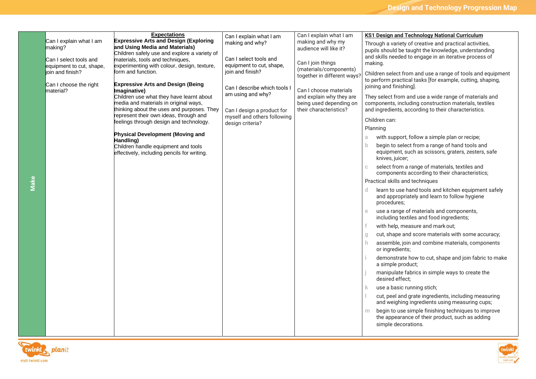| Can I explain what I am<br>making?                 | <b>Expectations</b><br><b>Expressive Arts and Design (Exploring</b><br>and Using Media and Materials)                           | Can I explain what I am<br>making and why?                                    | Can I explain what I am<br>making and why my<br>audience will like it?        | <b>KS1 Design and Technology National Curriculum</b><br>Through a variety of creative and practical activities,<br>pupils should be taught the knowledge, understanding |  |
|----------------------------------------------------|---------------------------------------------------------------------------------------------------------------------------------|-------------------------------------------------------------------------------|-------------------------------------------------------------------------------|-------------------------------------------------------------------------------------------------------------------------------------------------------------------------|--|
| Can I select tools and<br>equipment to cut, shape, | Children safely use and explore a variety of<br>materials, tools and techniques,<br>experimenting with colour, design, texture, | Can I select tools and<br>equipment to cut, shape,                            | Can I join things                                                             | and skills needed to engage in an iterative process of<br>making.                                                                                                       |  |
| lioin and finish?<br>Can I choose the right        | form and function.<br><b>Expressive Arts and Design (Being</b>                                                                  | join and finish?                                                              | (materials/components)<br>together in different ways                          | Children select from and use a range of tools and equipment<br>to perform practical tasks [for example, cutting, shaping,<br>joining and finishing].                    |  |
| material?                                          | Imaginative)<br>Children use what they have learnt about<br>media and materials in original ways,                               | Can I describe which tools I<br>am using and why?                             | Can I choose materials<br>and explain why they are<br>being used depending on | They select from and use a wide range of materials and<br>components, including construction materials, textiles                                                        |  |
|                                                    | thinking about the uses and purposes. They<br>represent their own ideas, through and<br>feelings through design and technology. | Can I design a product for<br>myself and others following<br>design criteria? | their characteristics?                                                        | and ingredients, according to their characteristics.<br>Children can:                                                                                                   |  |
|                                                    |                                                                                                                                 |                                                                               |                                                                               | Planning                                                                                                                                                                |  |
|                                                    | <b>Physical Development (Moving and</b><br>Handling)                                                                            |                                                                               |                                                                               | with support, follow a simple plan or recipe;<br>a                                                                                                                      |  |
|                                                    | Children handle equipment and tools<br>effectively, including pencils for writing.                                              |                                                                               |                                                                               | $\mathbf b$<br>begin to select from a range of hand tools and<br>equipment, such as scissors, graters, zesters, safe<br>knives, juicer;                                 |  |
|                                                    |                                                                                                                                 |                                                                               |                                                                               | select from a range of materials, textiles and<br>C.<br>components according to their characteristics;                                                                  |  |
|                                                    |                                                                                                                                 |                                                                               |                                                                               | Practical skills and techniques                                                                                                                                         |  |
|                                                    |                                                                                                                                 |                                                                               |                                                                               | learn to use hand tools and kitchen equipment safely<br>and appropriately and learn to follow hygiene<br>procedures;                                                    |  |
|                                                    |                                                                                                                                 |                                                                               |                                                                               | use a range of materials and components,<br>$\mathbf e$<br>including textiles and food ingredients;                                                                     |  |
|                                                    |                                                                                                                                 |                                                                               |                                                                               | with help, measure and mark out;                                                                                                                                        |  |
|                                                    |                                                                                                                                 |                                                                               |                                                                               | cut, shape and score materials with some accuracy;                                                                                                                      |  |
|                                                    |                                                                                                                                 |                                                                               |                                                                               | assemble, join and combine materials, components<br>or ingredients;                                                                                                     |  |
|                                                    |                                                                                                                                 |                                                                               |                                                                               | demonstrate how to cut, shape and join fabric to make<br>a simple product;                                                                                              |  |
|                                                    |                                                                                                                                 |                                                                               |                                                                               | manipulate fabrics in simple ways to create the<br>desired effect;                                                                                                      |  |
|                                                    |                                                                                                                                 |                                                                               |                                                                               | use a basic running stich;<br>ĸ                                                                                                                                         |  |
|                                                    |                                                                                                                                 |                                                                               |                                                                               | cut, peel and grate ingredients, including measuring<br>and weighing ingredients using measuring cups;                                                                  |  |
|                                                    |                                                                                                                                 |                                                                               |                                                                               | begin to use simple finishing techniques to improve<br>m.<br>the appearance of their product, such as adding<br>simple decorations.                                     |  |
|                                                    |                                                                                                                                 |                                                                               |                                                                               |                                                                                                                                                                         |  |



**Make**

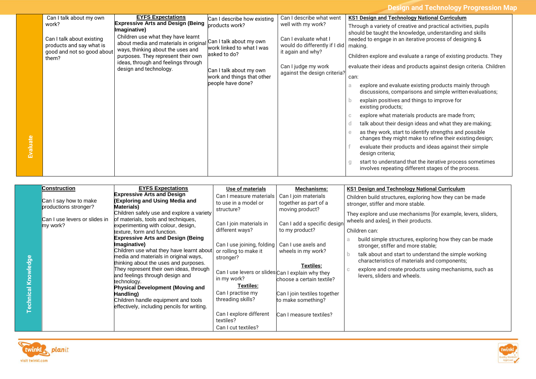**Design and Technology Progression Map**

|                                                                                     | Can I talk about my own                                                                                          | <b>EYFS Expectations</b>                                                  | Can I describe how existing                                                           | Can I describe what went                                                                                                                                                                | <b>KS1 Design and Technology National Curriculum</b>                                                                    |
|-------------------------------------------------------------------------------------|------------------------------------------------------------------------------------------------------------------|---------------------------------------------------------------------------|---------------------------------------------------------------------------------------|-----------------------------------------------------------------------------------------------------------------------------------------------------------------------------------------|-------------------------------------------------------------------------------------------------------------------------|
|                                                                                     | work?                                                                                                            | <b>Expressive Arts and Design (Being</b><br>maginative)                   | products work?                                                                        | well with my work?                                                                                                                                                                      | Through a variety of creative and practical activities, pupils                                                          |
| Can I talk about existing<br>products and say what is<br>good and not so good about | Children use what they have learnt<br>about media and materials in original<br>ways, thinking about the uses and | Can I talk about my own<br>work linked to what I was<br>asked to do?      | Can I evaluate what I<br>would do differently if I did   making.<br>it again and why? | should be taught the knowledge, understanding and skills<br>needed to engage in an iterative process of designing &<br>Children explore and evaluate a range of existing products. They |                                                                                                                         |
|                                                                                     | them?                                                                                                            | purposes. They represent their own<br>ideas, through and feelings through |                                                                                       |                                                                                                                                                                                         |                                                                                                                         |
|                                                                                     |                                                                                                                  | design and technology.                                                    | Can I talk about my own                                                               | Can I judge my work                                                                                                                                                                     | evaluate their ideas and products against design criteria. Children                                                     |
|                                                                                     |                                                                                                                  |                                                                           | work and things that other                                                            | against the design criteria?                                                                                                                                                            | can:                                                                                                                    |
|                                                                                     |                                                                                                                  |                                                                           | people have done?                                                                     |                                                                                                                                                                                         | explore and evaluate existing products mainly through<br>a<br>discussions, comparisons and simple written evaluations;  |
|                                                                                     |                                                                                                                  |                                                                           |                                                                                       |                                                                                                                                                                                         | explain positives and things to improve for<br>existing products;                                                       |
|                                                                                     |                                                                                                                  |                                                                           |                                                                                       |                                                                                                                                                                                         | explore what materials products are made from;<br>C                                                                     |
|                                                                                     |                                                                                                                  |                                                                           |                                                                                       |                                                                                                                                                                                         | talk about their design ideas and what they are making;<br>d                                                            |
|                                                                                     |                                                                                                                  |                                                                           |                                                                                       |                                                                                                                                                                                         | as they work, start to identify strengths and possible<br>e<br>changes they might make to refine their existing design; |
|                                                                                     |                                                                                                                  |                                                                           |                                                                                       |                                                                                                                                                                                         | evaluate their products and ideas against their simple<br>design criteria;                                              |
|                                                                                     |                                                                                                                  |                                                                           |                                                                                       |                                                                                                                                                                                         | start to understand that the iterative process sometimes<br>g<br>involves repeating different stages of the process.    |

|                      | Construction                  | <b>EYFS Expectations</b>                                                                                                   | Use of materials                   | Mechanisms:                                                                                                              | <b>KS1 Design and Technology National Curriculum</b>                  |
|----------------------|-------------------------------|----------------------------------------------------------------------------------------------------------------------------|------------------------------------|--------------------------------------------------------------------------------------------------------------------------|-----------------------------------------------------------------------|
|                      |                               | <b>Expressive Arts and Design</b>                                                                                          | Can I measure materials            | Can I join materials                                                                                                     | Children build structures, exploring how they can be made             |
|                      | Can I say how to make         | <b>(Exploring and Using Media and</b>                                                                                      | to use in a model or               | together as part of a                                                                                                    | stronger, stiffer and more stable.                                    |
|                      | productions stronger?         | <b>Materials)</b><br>Children safely use and explore a variety                                                             | structure?                         | moving product?                                                                                                          |                                                                       |
|                      | Can I use levers or slides in | of materials, tools and techniques,                                                                                        |                                    |                                                                                                                          | They explore and use mechanisms [for example, levers, sliders,        |
|                      |                               | experimenting with colour, design,                                                                                         | Can I join materials in            | Can I add a specific design                                                                                              | wheels and axles], in their products.                                 |
|                      | my work?                      | texture, form and function.                                                                                                | different ways?                    | to my product?                                                                                                           | Children can:                                                         |
|                      |                               | <b>Expressive Arts and Design (Being)</b>                                                                                  |                                    |                                                                                                                          |                                                                       |
|                      |                               | Imaginative)                                                                                                               | Can I use joining, folding         | Can I use axels and                                                                                                      | build simple structures, exploring how they can be made<br>a          |
|                      |                               | Children use what they have learnt about<br>media and materials in original ways,<br>thinking about the uses and purposes. | or rolling to make it<br>stronger? | wheels in my work?<br><b>Textiles:</b><br>Can I use levers or slides Can I explain why they<br>choose a certain textile? | stronger, stiffer and more stable;                                    |
| $\omega$             |                               |                                                                                                                            |                                    |                                                                                                                          | talk about and start to understand the simple working<br>$\mathbf b$  |
| $\bar{a}$<br>Knowled |                               |                                                                                                                            |                                    |                                                                                                                          | characteristics of materials and components;                          |
|                      |                               | They represent their own ideas, through                                                                                    |                                    |                                                                                                                          | explore and create products using mechanisms, such as<br>$\mathbb{C}$ |
|                      |                               | and feelings through design and<br>technology.                                                                             |                                    |                                                                                                                          | levers, sliders and wheels.                                           |
|                      |                               |                                                                                                                            | in my work?                        |                                                                                                                          |                                                                       |
|                      |                               | <b>Physical Development (Moving and</b>                                                                                    | <b>Textiles:</b>                   |                                                                                                                          |                                                                       |
|                      |                               | Handling)                                                                                                                  | Can I practise my                  | Can I join textiles together                                                                                             |                                                                       |
| echnical             |                               | Children handle equipment and tools                                                                                        | threading skills?                  | to make something?                                                                                                       |                                                                       |
|                      |                               | effectively, including pencils for writing.                                                                                |                                    |                                                                                                                          |                                                                       |
|                      |                               |                                                                                                                            | Can I explore different            | Can I measure textiles?                                                                                                  |                                                                       |
|                      |                               |                                                                                                                            | textiles?                          |                                                                                                                          |                                                                       |
|                      |                               |                                                                                                                            | Can I cut textiles?                |                                                                                                                          |                                                                       |



**Evaluate**